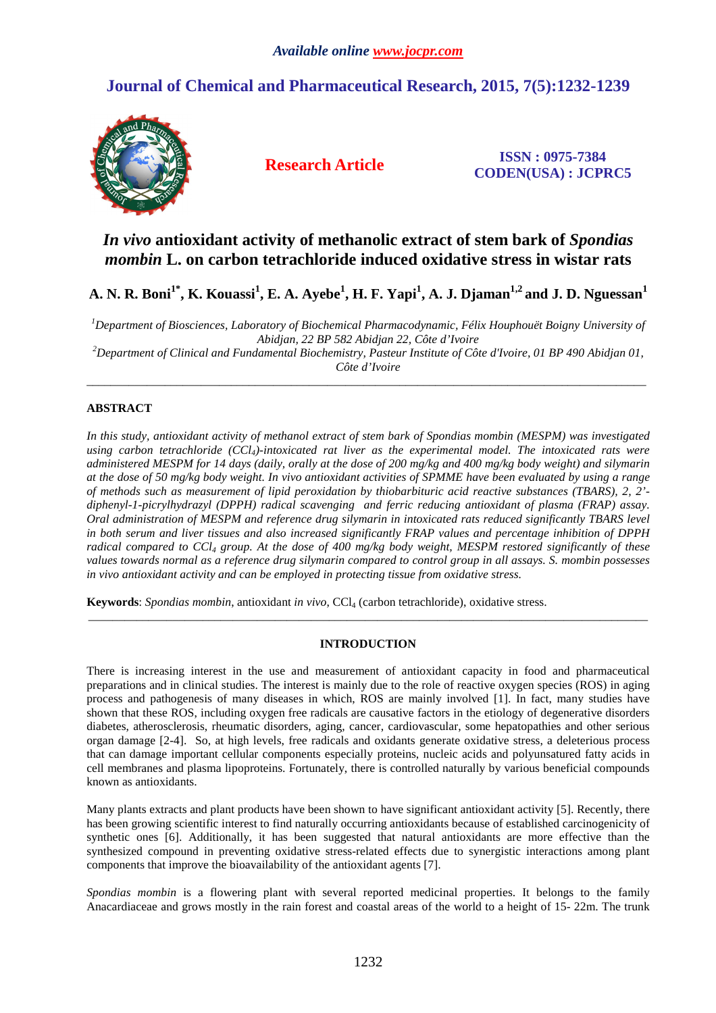# **Journal of Chemical and Pharmaceutical Research, 2015, 7(5):1232-1239**



**Research Article ISSN : 0975-7384 CODEN(USA) : JCPRC5**

## *In vivo* **antioxidant activity of methanolic extract of stem bark of** *Spondias mombin* **L. on carbon tetrachloride induced oxidative stress in wistar rats**

**A. N. R. Boni1\*, K. Kouassi<sup>1</sup> , E. A. Ayebe<sup>1</sup> , H. F. Yapi<sup>1</sup> , A. J. Djaman1,2 and J. D. Nguessan<sup>1</sup>**

*<sup>1</sup>Department of Biosciences, Laboratory of Biochemical Pharmacodynamic, Félix Houphouët Boigny University of Abidjan, 22 BP 582 Abidjan 22, Côte d'Ivoire* 

*<sup>2</sup>Department of Clinical and Fundamental Biochemistry, Pasteur Institute of Côte d'Ivoire, 01 BP 490 Abidjan 01, Côte d'Ivoire*  \_\_\_\_\_\_\_\_\_\_\_\_\_\_\_\_\_\_\_\_\_\_\_\_\_\_\_\_\_\_\_\_\_\_\_\_\_\_\_\_\_\_\_\_\_\_\_\_\_\_\_\_\_\_\_\_\_\_\_\_\_\_\_\_\_\_\_\_\_\_\_\_\_\_\_\_\_\_\_\_\_\_\_\_\_\_\_\_\_\_\_\_\_

## **ABSTRACT**

*In this study, antioxidant activity of methanol extract of stem bark of Spondias mombin (MESPM) was investigated using carbon tetrachloride (CCl4)-intoxicated rat liver as the experimental model. The intoxicated rats were administered MESPM for 14 days (daily, orally at the dose of 200 mg/kg and 400 mg/kg body weight) and silymarin at the dose of 50 mg/kg body weight. In vivo antioxidant activities of SPMME have been evaluated by using a range of methods such as measurement of lipid peroxidation by thiobarbituric acid reactive substances (TBARS), 2, 2' diphenyl-1-picrylhydrazyl (DPPH) radical scavenging and ferric reducing antioxidant of plasma (FRAP) assay. Oral administration of MESPM and reference drug silymarin in intoxicated rats reduced significantly TBARS level in both serum and liver tissues and also increased significantly FRAP values and percentage inhibition of DPPH radical compared to CCl4 group. At the dose of 400 mg/kg body weight, MESPM restored significantly of these values towards normal as a reference drug silymarin compared to control group in all assays. S. mombin possesses in vivo antioxidant activity and can be employed in protecting tissue from oxidative stress.* 

**Keywords**: *Spondias mombin*, antioxidant *in vivo*, CCl4 (carbon tetrachloride), oxidative stress.

## **INTRODUCTION**

\_\_\_\_\_\_\_\_\_\_\_\_\_\_\_\_\_\_\_\_\_\_\_\_\_\_\_\_\_\_\_\_\_\_\_\_\_\_\_\_\_\_\_\_\_\_\_\_\_\_\_\_\_\_\_\_\_\_\_\_\_\_\_\_\_\_\_\_\_\_\_\_\_\_\_\_\_\_\_\_\_\_\_\_\_\_\_\_\_\_\_\_\_

There is increasing interest in the use and measurement of antioxidant capacity in food and pharmaceutical preparations and in clinical studies. The interest is mainly due to the role of reactive oxygen species (ROS) in aging process and pathogenesis of many diseases in which, ROS are mainly involved [1]. In fact, many studies have shown that these ROS, including oxygen free radicals are causative factors in the etiology of degenerative disorders diabetes, atherosclerosis, rheumatic disorders, aging, cancer, cardiovascular, some hepatopathies and other serious organ damage [2-4]. So, at high levels, free radicals and oxidants generate oxidative stress, a deleterious process that can damage important cellular components especially proteins, nucleic acids and polyunsatured fatty acids in cell membranes and plasma lipoproteins. Fortunately, there is controlled naturally by various beneficial compounds known as antioxidants.

Many plants extracts and plant products have been shown to have significant antioxidant activity [5]. Recently, there has been growing scientific interest to find naturally occurring antioxidants because of established carcinogenicity of synthetic ones [6]. Additionally, it has been suggested that natural antioxidants are more effective than the synthesized compound in preventing oxidative stress-related effects due to synergistic interactions among plant components that improve the bioavailability of the antioxidant agents [7].

*Spondias mombin* is a flowering plant with several reported medicinal properties. It belongs to the family Anacardiaceae and grows mostly in the rain forest and coastal areas of the world to a height of 15- 22m. The trunk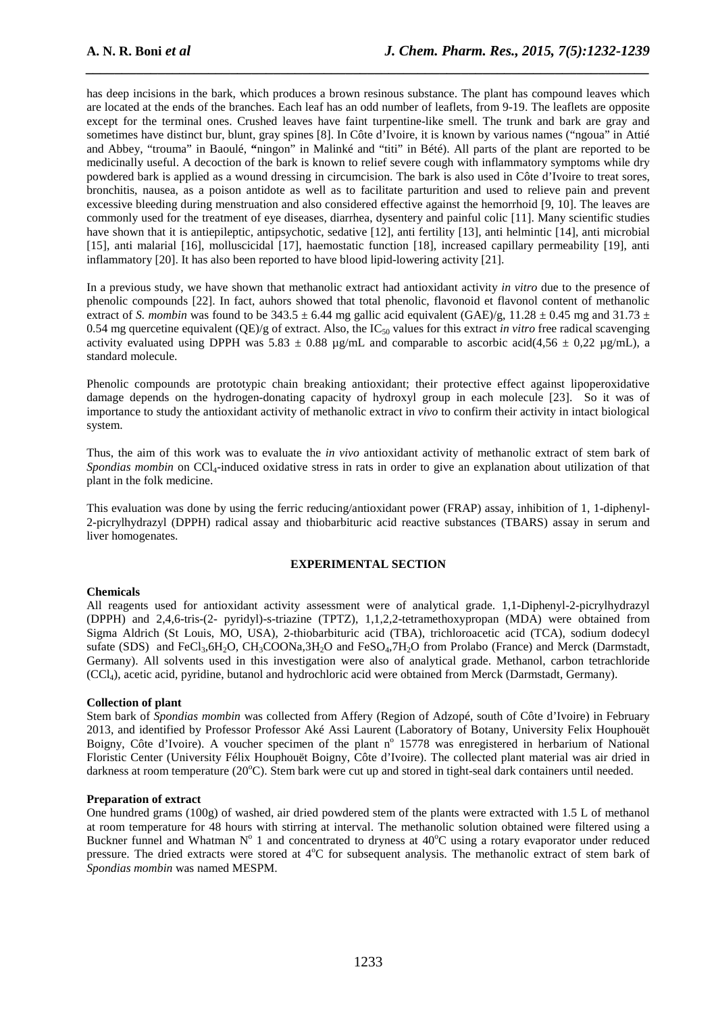has deep incisions in the bark, which produces a brown resinous substance. The plant has compound leaves which are located at the ends of the branches. Each leaf has an odd number of leaflets, from 9-19. The leaflets are opposite except for the terminal ones. Crushed leaves have faint turpentine-like smell. The trunk and bark are gray and sometimes have distinct bur, blunt, gray spines [8]. In Côte d'Ivoire, it is known by various names ("ngoua" in Attié and Abbey, "trouma" in Baoulé, **"**ningon" in Malinké and "titi" in Bété). All parts of the plant are reported to be medicinally useful. A decoction of the bark is known to relief severe cough with inflammatory symptoms while dry powdered bark is applied as a wound dressing in circumcision. The bark is also used in Côte d'Ivoire to treat sores, bronchitis, nausea, as a poison antidote as well as to facilitate parturition and used to relieve pain and prevent excessive bleeding during menstruation and also considered effective against the hemorrhoid [9, 10]. The leaves are commonly used for the treatment of eye diseases, diarrhea, dysentery and painful colic [11]. Many scientific studies have shown that it is antiepileptic, antipsychotic, sedative [12], anti fertility [13], anti helmintic [14], anti microbial [15], anti malarial [16], molluscicidal [17], haemostatic function [18], increased capillary permeability [19], anti inflammatory [20]. It has also been reported to have blood lipid-lowering activity [21].

*\_\_\_\_\_\_\_\_\_\_\_\_\_\_\_\_\_\_\_\_\_\_\_\_\_\_\_\_\_\_\_\_\_\_\_\_\_\_\_\_\_\_\_\_\_\_\_\_\_\_\_\_\_\_\_\_\_\_\_\_\_\_\_\_\_\_\_\_\_\_\_\_\_\_\_\_\_\_*

In a previous study, we have shown that methanolic extract had antioxidant activity *in vitro* due to the presence of phenolic compounds [22]. In fact, auhors showed that total phenolic, flavonoid et flavonol content of methanolic extract of *S. mombin* was found to be 343.5  $\pm$  6.44 mg gallic acid equivalent (GAE)/g, 11.28  $\pm$  0.45 mg and 31.73  $\pm$ 0.54 mg quercetine equivalent  $(QE)/g$  of extract. Also, the  $IC_{50}$  values for this extract *in vitro* free radical scavenging activity evaluated using DPPH was  $5.83 \pm 0.88$  µg/mL and comparable to ascorbic acid(4,56  $\pm$  0,22 µg/mL), a standard molecule.

Phenolic compounds are prototypic chain breaking antioxidant; their protective effect against lipoperoxidative damage depends on the hydrogen-donating capacity of hydroxyl group in each molecule [23]. So it was of importance to study the antioxidant activity of methanolic extract in *vivo* to confirm their activity in intact biological system.

Thus, the aim of this work was to evaluate the *in vivo* antioxidant activity of methanolic extract of stem bark of *Spondias mombin* on CCl<sub>4</sub>-induced oxidative stress in rats in order to give an explanation about utilization of that plant in the folk medicine.

This evaluation was done by using the ferric reducing/antioxidant power (FRAP) assay, inhibition of 1, 1-diphenyl-2-picrylhydrazyl (DPPH) radical assay and thiobarbituric acid reactive substances (TBARS) assay in serum and liver homogenates.

## **EXPERIMENTAL SECTION**

## **Chemicals**

All reagents used for antioxidant activity assessment were of analytical grade. 1,1-Diphenyl-2-picrylhydrazyl (DPPH) and 2,4,6-tris-(2- pyridyl)-s-triazine (TPTZ), 1,1,2,2-tetramethoxypropan (MDA) were obtained from Sigma Aldrich (St Louis, MO, USA), 2-thiobarbituric acid (TBA), trichloroacetic acid (TCA), sodium dodecyl sufate (SDS) and FeCl<sub>3</sub>,6H<sub>2</sub>O, CH<sub>3</sub>COONa,3H<sub>2</sub>O and FeSO<sub>4</sub>,7H<sub>2</sub>O from Prolabo (France) and Merck (Darmstadt, Germany). All solvents used in this investigation were also of analytical grade. Methanol, carbon tetrachloride (CCl4), acetic acid, pyridine, butanol and hydrochloric acid were obtained from Merck (Darmstadt, Germany).

## **Collection of plant**

Stem bark of *Spondias mombin* was collected from Affery (Region of Adzopé, south of Côte d'Ivoire) in February 2013, and identified by Professor Professor Aké Assi Laurent (Laboratory of Botany, University Felix Houphouët Boigny, Côte d'Ivoire). A voucher specimen of the plant n° 15778 was enregistered in herbarium of National Floristic Center (University Félix Houphouët Boigny, Côte d'Ivoire). The collected plant material was air dried in darkness at room temperature (20°C). Stem bark were cut up and stored in tight-seal dark containers until needed.

#### **Preparation of extract**

One hundred grams (100g) of washed, air dried powdered stem of the plants were extracted with 1.5 L of methanol at room temperature for 48 hours with stirring at interval. The methanolic solution obtained were filtered using a Buckner funnel and Whatman  $N^{\circ}$  1 and concentrated to dryness at 40°C using a rotary evaporator under reduced pressure. The dried extracts were stored at 4<sup>o</sup>C for subsequent analysis. The methanolic extract of stem bark of *Spondias mombin* was named MESPM.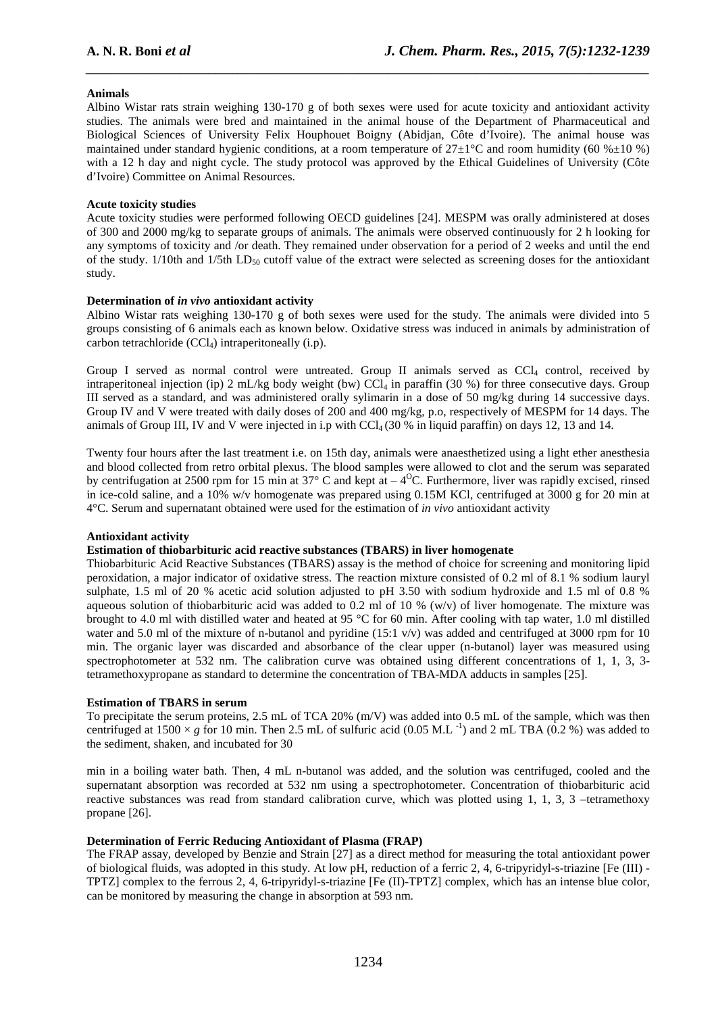## **Animals**

Albino Wistar rats strain weighing 130-170 g of both sexes were used for acute toxicity and antioxidant activity studies. The animals were bred and maintained in the animal house of the Department of Pharmaceutical and Biological Sciences of University Felix Houphouet Boigny (Abidjan, Côte d'Ivoire). The animal house was maintained under standard hygienic conditions, at a room temperature of  $27 \pm 1^{\circ}$ C and room humidity (60 % $\pm 10$  %) with a 12 h day and night cycle. The study protocol was approved by the Ethical Guidelines of University (Côte d'Ivoire) Committee on Animal Resources.

*\_\_\_\_\_\_\_\_\_\_\_\_\_\_\_\_\_\_\_\_\_\_\_\_\_\_\_\_\_\_\_\_\_\_\_\_\_\_\_\_\_\_\_\_\_\_\_\_\_\_\_\_\_\_\_\_\_\_\_\_\_\_\_\_\_\_\_\_\_\_\_\_\_\_\_\_\_\_*

## **Acute toxicity studies**

Acute toxicity studies were performed following OECD guidelines [24]. MESPM was orally administered at doses of 300 and 2000 mg/kg to separate groups of animals. The animals were observed continuously for 2 h looking for any symptoms of toxicity and /or death. They remained under observation for a period of 2 weeks and until the end of the study.  $1/10$ th and  $1/5$ th LD<sub>50</sub> cutoff value of the extract were selected as screening doses for the antioxidant study.

### **Determination of** *in vivo* **antioxidant activity**

Albino Wistar rats weighing 130-170 g of both sexes were used for the study. The animals were divided into 5 groups consisting of 6 animals each as known below. Oxidative stress was induced in animals by administration of carbon tetrachloride (CCl4) intraperitoneally (i.p).

Group I served as normal control were untreated. Group II animals served as  $CCl<sub>4</sub>$  control, received by intraperitoneal injection (ip) 2 mL/kg body weight (bw)  $\text{CCl}_4$  in paraffin (30 %) for three consecutive days. Group III served as a standard, and was administered orally sylimarin in a dose of 50 mg/kg during 14 successive days. Group IV and V were treated with daily doses of 200 and 400 mg/kg, p.o, respectively of MESPM for 14 days. The animals of Group III, IV and V were injected in i.p with  $\text{CCl}_4$  (30 % in liquid paraffin) on days 12, 13 and 14.

Twenty four hours after the last treatment i.e. on 15th day, animals were anaesthetized using a light ether anesthesia and blood collected from retro orbital plexus. The blood samples were allowed to clot and the serum was separated by centrifugation at 2500 rpm for 15 min at 37 $\degree$  C and kept at  $-4\degree$ C. Furthermore, liver was rapidly excised, rinsed in ice-cold saline, and a 10% w/v homogenate was prepared using 0.15M KCl, centrifuged at 3000 g for 20 min at 4°C. Serum and supernatant obtained were used for the estimation of *in vivo* antioxidant activity

## **Antioxidant activity**

## **Estimation of thiobarbituric acid reactive substances (TBARS) in liver homogenate**

Thiobarbituric Acid Reactive Substances (TBARS) assay is the method of choice for screening and monitoring lipid peroxidation, a major indicator of oxidative stress. The reaction mixture consisted of 0.2 ml of 8.1 % sodium lauryl sulphate, 1.5 ml of 20 % acetic acid solution adjusted to pH 3.50 with sodium hydroxide and 1.5 ml of 0.8 % aqueous solution of thiobarbituric acid was added to 0.2 ml of 10 % (w/v) of liver homogenate. The mixture was brought to 4.0 ml with distilled water and heated at 95 °C for 60 min. After cooling with tap water, 1.0 ml distilled water and 5.0 ml of the mixture of n-butanol and pyridine  $(15:1 \text{ v/v})$  was added and centrifuged at 3000 rpm for 10 min. The organic layer was discarded and absorbance of the clear upper (n-butanol) layer was measured using spectrophotometer at 532 nm. The calibration curve was obtained using different concentrations of 1, 1, 3, 3 tetramethoxypropane as standard to determine the concentration of TBA-MDA adducts in samples [25].

#### **Estimation of TBARS in serum**

To precipitate the serum proteins, 2.5 mL of TCA 20% (m/V) was added into 0.5 mL of the sample, which was then centrifuged at  $1500 \times g$  for 10 min. Then 2.5 mL of sulfuric acid (0.05 M.L<sup>-1</sup>) and 2 mL TBA (0.2 %) was added to the sediment, shaken, and incubated for 30

min in a boiling water bath. Then, 4 mL n-butanol was added, and the solution was centrifuged, cooled and the supernatant absorption was recorded at 532 nm using a spectrophotometer. Concentration of thiobarbituric acid reactive substances was read from standard calibration curve, which was plotted using 1, 1, 3, 3 –tetramethoxy propane [26].

#### **Determination of Ferric Reducing Antioxidant of Plasma (FRAP)**

The FRAP assay, developed by Benzie and Strain [27] as a direct method for measuring the total antioxidant power of biological fluids, was adopted in this study. At low pH, reduction of a ferric 2, 4, 6-tripyridyl-s-triazine [Fe (III) - TPTZ] complex to the ferrous 2, 4, 6-tripyridyl-s-triazine [Fe (II)-TPTZ] complex, which has an intense blue color, can be monitored by measuring the change in absorption at 593 nm.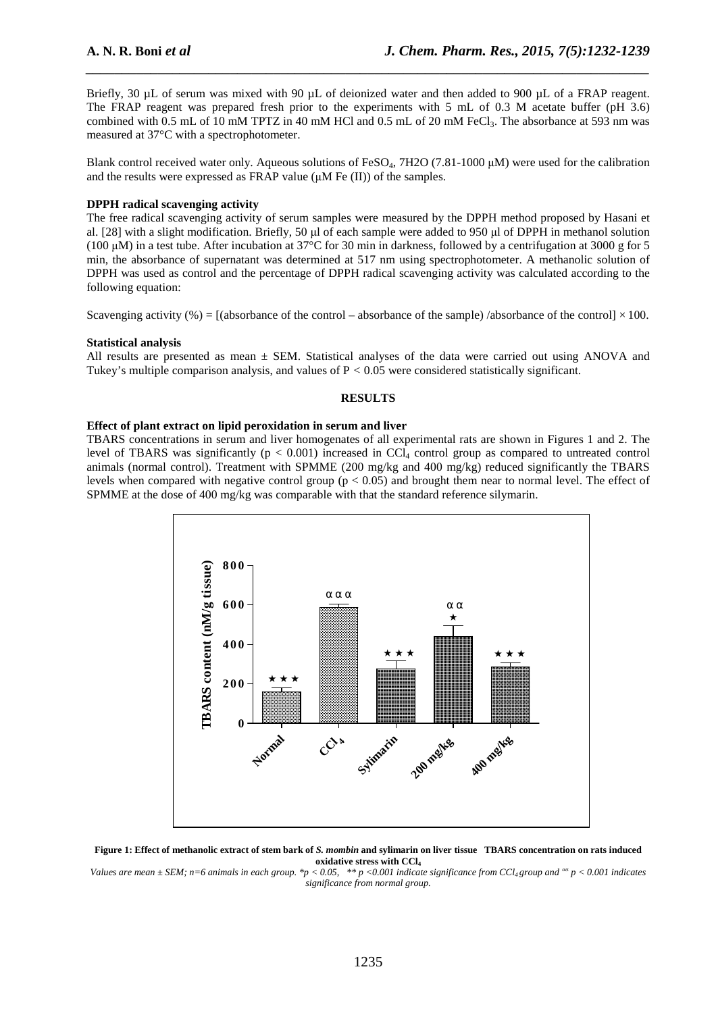Briefly, 30 µL of serum was mixed with 90 µL of deionized water and then added to 900 µL of a FRAP reagent. The FRAP reagent was prepared fresh prior to the experiments with 5 mL of 0.3 M acetate buffer (pH 3.6) combined with 0.5 mL of 10 mM TPTZ in 40 mM HCl and 0.5 mL of 20 mM FeCl<sub>3</sub>. The absorbance at 593 nm was measured at 37°C with a spectrophotometer.

*\_\_\_\_\_\_\_\_\_\_\_\_\_\_\_\_\_\_\_\_\_\_\_\_\_\_\_\_\_\_\_\_\_\_\_\_\_\_\_\_\_\_\_\_\_\_\_\_\_\_\_\_\_\_\_\_\_\_\_\_\_\_\_\_\_\_\_\_\_\_\_\_\_\_\_\_\_\_*

Blank control received water only. Aqueous solutions of FeSO<sub>4</sub>, 7H2O (7.81-1000  $\mu$ M) were used for the calibration and the results were expressed as FRAP value  $(\mu M \nvert F e (II))$  of the samples.

#### **DPPH radical scavenging activity**

The free radical scavenging activity of serum samples were measured by the DPPH method proposed by Hasani et al. [28] with a slight modification. Briefly, 50 µl of each sample were added to 950 µl of DPPH in methanol solution (100  $\mu$ M) in a test tube. After incubation at 37°C for 30 min in darkness, followed by a centrifugation at 3000 g for 5 min, the absorbance of supernatant was determined at 517 nm using spectrophotometer. A methanolic solution of DPPH was used as control and the percentage of DPPH radical scavenging activity was calculated according to the following equation:

Scavenging activity (%) =  $[(\text{absorbane of the control - absorbance of the sample) /absorbane of the control] \times 100$ .

#### **Statistical analysis**

All results are presented as mean *±* SEM. Statistical analyses of the data were carried out using ANOVA and Tukey's multiple comparison analysis, and values of P *<* 0.05 were considered statistically significant.

#### **RESULTS**

#### **Effect of plant extract on lipid peroxidation in serum and liver**

TBARS concentrations in serum and liver homogenates of all experimental rats are shown in Figures 1 and 2. The level of TBARS was significantly ( $p < 0.001$ ) increased in CCl<sub>4</sub> control group as compared to untreated control animals (normal control). Treatment with SPMME (200 mg/kg and 400 mg/kg) reduced significantly the TBARS levels when compared with negative control group ( $p < 0.05$ ) and brought them near to normal level. The effect of SPMME at the dose of 400 mg/kg was comparable with that the standard reference silymarin.





*Values are mean ± SEM; n=6 animals in each group. \*p < 0.05, \*\* p <0.001 indicate significance from CCl4 group and αα p < 0.001 indicates significance from normal group.*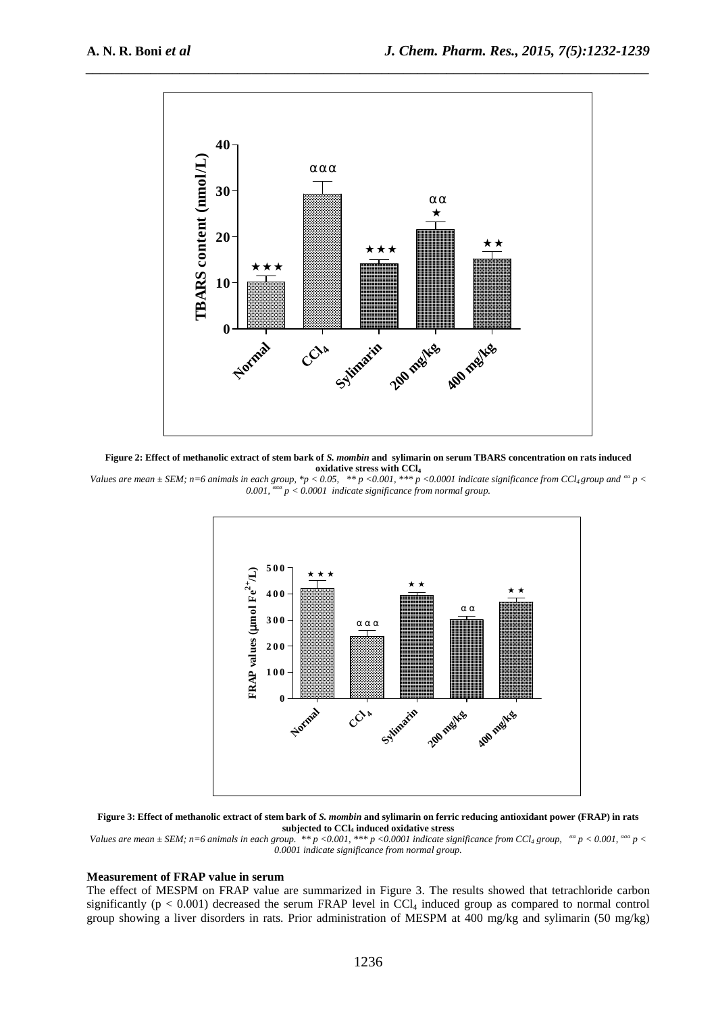

**Figure 2: Effect of methanolic extract of stem bark of** *S. mombin* **and sylimarin on serum TBARS concentration on rats induced oxidative stress with CCl<sup>4</sup>**

*Values are mean*  $\pm$  *SEM; n=6 animals in each group, \*p* < 0.05, \*\**p* <0.001, \*\*\* *p* <0.0001 indicate significance from CCl<sub>4</sub> group and <sup>*aa*</sup> *p* < *0.001, ααα p < 0.0001 indicate significance from normal group.* 



**Figure 3: Effect of methanolic extract of stem bark of** *S. mombin* **and sylimarin on ferric reducing antioxidant power (FRAP) in rats subjected to CCl4 induced oxidative stress** 

*Values are mean*  $\pm$  *SEM; n=6 animals in each group.* \*\* p <0.001, \*\*\* p <0.0001 indicate significance from CCl<sub>4</sub> group,  $a^{\alpha}$  p < 0.001,  $a^{\alpha\alpha}$  p < *0.0001 indicate significance from normal group.* 

#### **Measurement of FRAP value in serum**

The effect of MESPM on FRAP value are summarized in Figure 3. The results showed that tetrachloride carbon significantly ( $p < 0.001$ ) decreased the serum FRAP level in CCl<sub>4</sub> induced group as compared to normal control group showing a liver disorders in rats. Prior administration of MESPM at 400 mg/kg and sylimarin (50 mg/kg)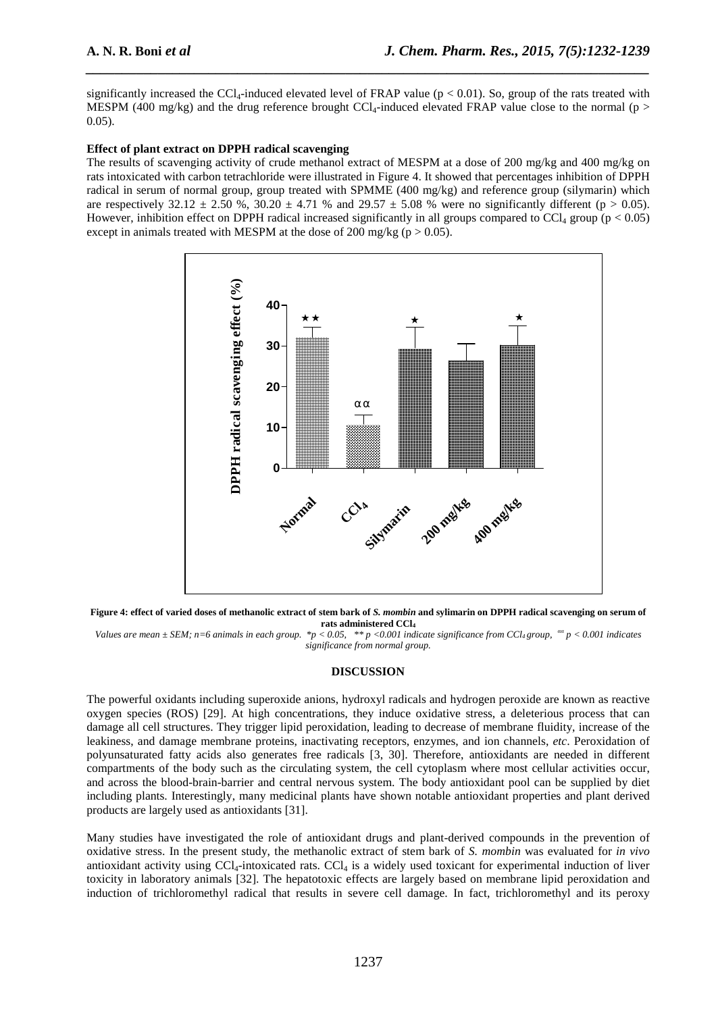significantly increased the CCl<sub>4</sub>-induced elevated level of FRAP value ( $p < 0.01$ ). So, group of the rats treated with MESPM (400 mg/kg) and the drug reference brought CCl<sub>4</sub>-induced elevated FRAP value close to the normal (p > 0.05).

*\_\_\_\_\_\_\_\_\_\_\_\_\_\_\_\_\_\_\_\_\_\_\_\_\_\_\_\_\_\_\_\_\_\_\_\_\_\_\_\_\_\_\_\_\_\_\_\_\_\_\_\_\_\_\_\_\_\_\_\_\_\_\_\_\_\_\_\_\_\_\_\_\_\_\_\_\_\_*

## **Effect of plant extract on DPPH radical scavenging**

The results of scavenging activity of crude methanol extract of MESPM at a dose of 200 mg/kg and 400 mg/kg on rats intoxicated with carbon tetrachloride were illustrated in Figure 4. It showed that percentages inhibition of DPPH radical in serum of normal group, group treated with SPMME (400 mg/kg) and reference group (silymarin) which are respectively  $32.12 \pm 2.50$  %,  $30.20 \pm 4.71$  % and  $29.57 \pm 5.08$  % were no significantly different (p > 0.05). However, inhibition effect on DPPH radical increased significantly in all groups compared to CCl<sub>4</sub> group ( $p < 0.05$ ) except in animals treated with MESPM at the dose of 200 mg/kg ( $p > 0.05$ ).



**Figure 4: effect of varied doses of methanolic extract of stem bark of** *S. mombin* **and sylimarin on DPPH radical scavenging on serum of rats administered CCl<sup>4</sup>**

*Values are mean ± SEM; n=6 animals in each group. \*p < 0.05, \*\* p <0.001 indicate significance from CCl4 group, αα p < 0.001 indicates significance from normal group.* 

## **DISCUSSION**

The powerful oxidants including superoxide anions, hydroxyl radicals and hydrogen peroxide are known as reactive oxygen species (ROS) [29]. At high concentrations, they induce oxidative stress, a deleterious process that can damage all cell structures. They trigger lipid peroxidation, leading to decrease of membrane fluidity, increase of the leakiness, and damage membrane proteins, inactivating receptors, enzymes, and ion channels, *etc*. Peroxidation of polyunsaturated fatty acids also generates free radicals [3, 30]. Therefore, antioxidants are needed in different compartments of the body such as the circulating system, the cell cytoplasm where most cellular activities occur, and across the blood-brain-barrier and central nervous system. The body antioxidant pool can be supplied by diet including plants. Interestingly, many medicinal plants have shown notable antioxidant properties and plant derived products are largely used as antioxidants [31].

Many studies have investigated the role of antioxidant drugs and plant-derived compounds in the prevention of oxidative stress. In the present study, the methanolic extract of stem bark of *S. mombin* was evaluated for *in vivo*  antioxidant activity using  $CCI<sub>4</sub>$ -intoxicated rats.  $CCI<sub>4</sub>$  is a widely used toxicant for experimental induction of liver toxicity in laboratory animals [32]. The hepatotoxic effects are largely based on membrane lipid peroxidation and induction of trichloromethyl radical that results in severe cell damage. In fact, trichloromethyl and its peroxy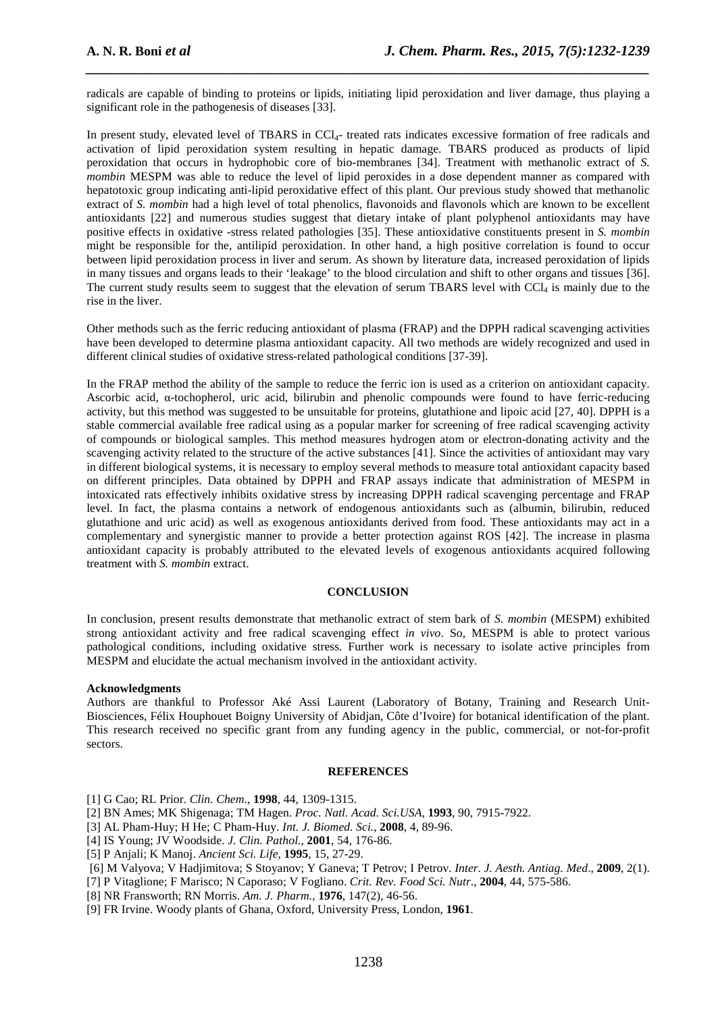radicals are capable of binding to proteins or lipids, initiating lipid peroxidation and liver damage, thus playing a significant role in the pathogenesis of diseases [33].

*\_\_\_\_\_\_\_\_\_\_\_\_\_\_\_\_\_\_\_\_\_\_\_\_\_\_\_\_\_\_\_\_\_\_\_\_\_\_\_\_\_\_\_\_\_\_\_\_\_\_\_\_\_\_\_\_\_\_\_\_\_\_\_\_\_\_\_\_\_\_\_\_\_\_\_\_\_\_*

In present study, elevated level of TBARS in CCl<sub>4</sub>- treated rats indicates excessive formation of free radicals and activation of lipid peroxidation system resulting in hepatic damage. TBARS produced as products of lipid peroxidation that occurs in hydrophobic core of bio-membranes [34]. Treatment with methanolic extract of *S. mombin* MESPM was able to reduce the level of lipid peroxides in a dose dependent manner as compared with hepatotoxic group indicating anti-lipid peroxidative effect of this plant. Our previous study showed that methanolic extract of *S. mombin* had a high level of total phenolics, flavonoids and flavonols which are known to be excellent antioxidants [22] and numerous studies suggest that dietary intake of plant polyphenol antioxidants may have positive effects in oxidative -stress related pathologies [35]. These antioxidative constituents present in *S. mombin* might be responsible for the, antilipid peroxidation. In other hand, a high positive correlation is found to occur between lipid peroxidation process in liver and serum. As shown by literature data, increased peroxidation of lipids in many tissues and organs leads to their 'leakage' to the blood circulation and shift to other organs and tissues [36]. The current study results seem to suggest that the elevation of serum TBARS level with  $CCL<sub>4</sub>$  is mainly due to the rise in the liver.

Other methods such as the ferric reducing antioxidant of plasma (FRAP) and the DPPH radical scavenging activities have been developed to determine plasma antioxidant capacity. All two methods are widely recognized and used in different clinical studies of oxidative stress-related pathological conditions [37-39].

In the FRAP method the ability of the sample to reduce the ferric ion is used as a criterion on antioxidant capacity. Ascorbic acid, α-tochopherol, uric acid, bilirubin and phenolic compounds were found to have ferric-reducing activity, but this method was suggested to be unsuitable for proteins, glutathione and lipoic acid [27, 40]. DPPH is a stable commercial available free radical using as a popular marker for screening of free radical scavenging activity of compounds or biological samples. This method measures hydrogen atom or electron-donating activity and the scavenging activity related to the structure of the active substances [41]. Since the activities of antioxidant may vary in different biological systems, it is necessary to employ several methods to measure total antioxidant capacity based on different principles. Data obtained by DPPH and FRAP assays indicate that administration of MESPM in intoxicated rats effectively inhibits oxidative stress by increasing DPPH radical scavenging percentage and FRAP level. In fact, the plasma contains a network of endogenous antioxidants such as (albumin, bilirubin, reduced glutathione and uric acid) as well as exogenous antioxidants derived from food. These antioxidants may act in a complementary and synergistic manner to provide a better protection against ROS [42]. The increase in plasma antioxidant capacity is probably attributed to the elevated levels of exogenous antioxidants acquired following treatment with *S. mombin* extract.

### **CONCLUSION**

In conclusion, present results demonstrate that methanolic extract of stem bark of *S. mombin* (MESPM) exhibited strong antioxidant activity and free radical scavenging effect *in vivo*. So, MESPM is able to protect various pathological conditions, including oxidative stress. Further work is necessary to isolate active principles from MESPM and elucidate the actual mechanism involved in the antioxidant activity.

#### **Acknowledgments**

Authors are thankful to Professor Aké Assi Laurent (Laboratory of Botany, Training and Research Unit-Biosciences, Félix Houphouet Boigny University of Abidjan, Côte d'Ivoire) for botanical identification of the plant. This research received no specific grant from any funding agency in the public, commercial, or not-for-profit sectors.

#### **REFERENCES**

- [1] G Cao; RL Prior. *Clin. Chem*., **1998**, 44, 1309-1315.
- [2] BN Ames; MK Shigenaga; TM Hagen. *Proc. Natl. Acad. Sci.USA*, **1993**, 90, 7915-7922.
- [3] AL Pham-Huy; H He; C Pham-Huy. *Int. J. Biomed. Sci.*, **2008**, 4, 89-96.
- [4] IS Young; JV Woodside. *J. Clin. Pathol.*, **2001**, 54, 176-86.
- [5] P Anjali; K Manoj. *Ancient Sci. Life*, **1995**, 15, 27-29.
- [6] M Valyova; V Hadjimitova; S Stoyanov; Y Ganeva; T Petrov; I Petrov. *Inter. J. Aesth. Antiag. Med*., **2009**, 2(1).
- [7] P Vitaglione; F Marisco; N Caporaso; V Fogliano. *Crit. Rev. Food Sci. Nutr*., **2004**, 44, 575-586.
- [8] NR Fransworth; RN Morris. *Am. J. Pharm.*, **1976**, 147(2), 46-56.
- [9] FR Irvine. Woody plants of Ghana, Oxford, University Press, London, **1961**.